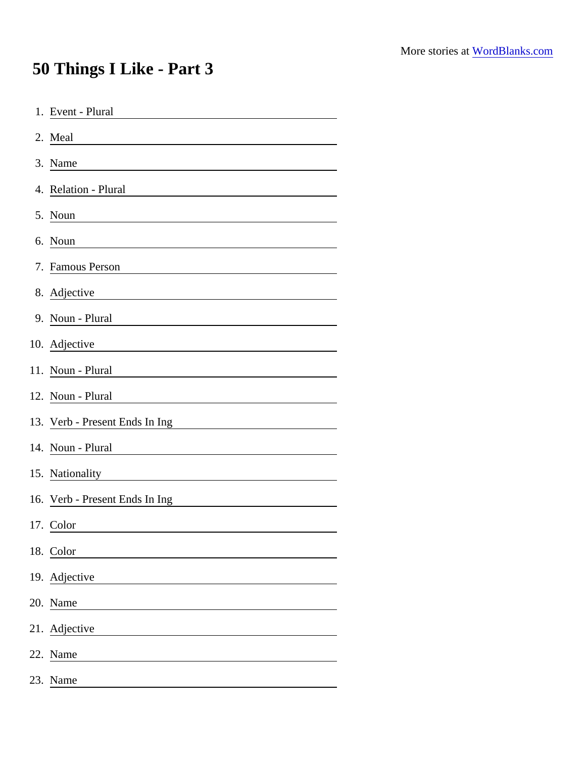## 50 Things I Like - Part 3

| 1. Event - Plural                                                                                                                                                                                                                                |
|--------------------------------------------------------------------------------------------------------------------------------------------------------------------------------------------------------------------------------------------------|
| 2. Meal                                                                                                                                                                                                                                          |
| 3. Name                                                                                                                                                                                                                                          |
| 4. Relation - Plural                                                                                                                                                                                                                             |
| 5. Noun                                                                                                                                                                                                                                          |
| 6. Noun<br><u> 1989 - Johann John Stone, meil in der Stone aus der Stone aus der Stone aus der Stone aus der Stone aus der S</u>                                                                                                                 |
| 7. Famous Person                                                                                                                                                                                                                                 |
| 8. Adjective<br><u> 1980 - Johann Barn, mars ann an t-Amhain Aonaich an t-Aonaich an t-Aonaich an t-Aonaich an t-Aonaich an t-Aon</u>                                                                                                            |
| 9. Noun - Plural<br><u> 1989 - John Stein, mars and de Brazilian (b. 1989)</u>                                                                                                                                                                   |
| 10. Adjective<br><u> 1989 - Johann Stein, mars and de Branch and de Branch and de Branch and de Branch and de Branch and de Branch</u>                                                                                                           |
| 11. Noun - Plural<br><u> 1980 - Johann Barbara, martxa alemaniar arg</u>                                                                                                                                                                         |
| 12. Noun - Plural                                                                                                                                                                                                                                |
| 13. Verb - Present Ends In Ing <b>Same Accept Ends</b> In Ing <b>Same Accept Accept Accept Accept Accept Accept Accept</b>                                                                                                                       |
| 14. Noun - Plural                                                                                                                                                                                                                                |
| 15. Nationality <u>_______________________________</u>                                                                                                                                                                                           |
| 16. Verb - Present Ends In Ing<br><u> 1989 - John Stein, amerikansk politiker (</u>                                                                                                                                                              |
| 17. Color                                                                                                                                                                                                                                        |
| 18. Color                                                                                                                                                                                                                                        |
| 19. Adjective                                                                                                                                                                                                                                    |
| 20. Name<br><u> 1989 - Jan Stern Stern Stern Stern Stern Stern Stern Stern Stern Stern Stern Stern Stern Stern Stern Stern Stern Stern Stern Stern Stern Stern Stern Stern Stern Stern Stern Stern Stern Stern Stern Stern Stern Stern Stern</u> |
| 21. Adjective                                                                                                                                                                                                                                    |
| 22. Name                                                                                                                                                                                                                                         |
| 23. Name                                                                                                                                                                                                                                         |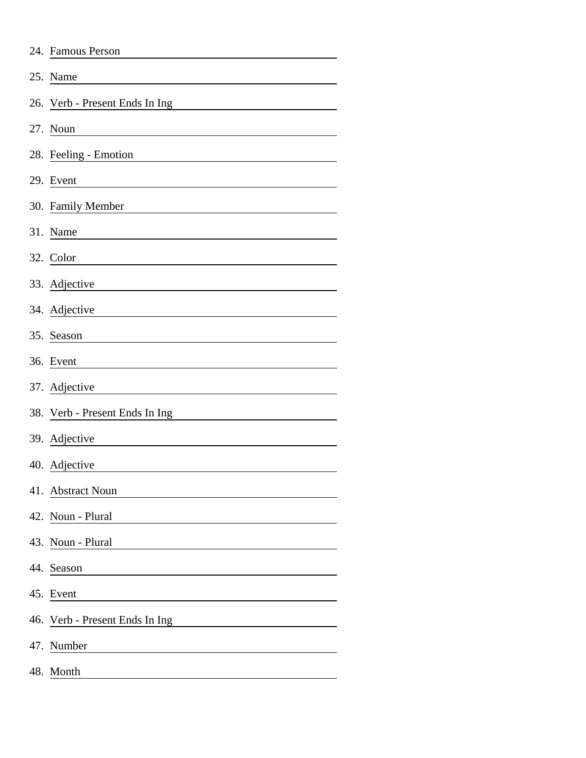| 24. Famous Person              |
|--------------------------------|
| 25. Name                       |
| 26. Verb - Present Ends In Ing |
| 27. Noun                       |
| 28. Feeling - Emotion          |
| 29. Event                      |
| 30. Family Member              |
| 31. Name                       |
| 32. Color                      |
| 33. Adjective                  |
| 34. Adjective                  |
| 35. Season                     |
| 36. Event                      |
| 37. Adjective                  |
| 38. Verb - Present Ends In Ing |
| 39. Adjective                  |
| 40. Adjective                  |
| 41. Abstract Noun              |
| 42. Noun - Plural              |
| 43. Noun - Plural              |
| 44. Season                     |
| 45. Event                      |
| 46. Verb - Present Ends In Ing |
| 47. Number                     |
| 48. Month                      |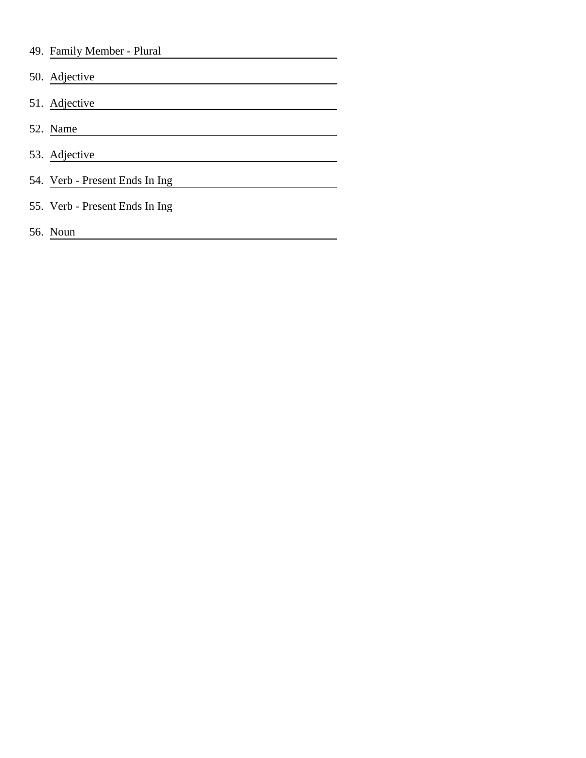| 49. Family Member - Plural     |
|--------------------------------|
| 50. Adjective                  |
| 51. Adjective                  |
| 52. Name                       |
| 53. Adjective                  |
| 54. Verb - Present Ends In Ing |
| 55. Verb - Present Ends In Ing |
| <b>56.</b> Noun                |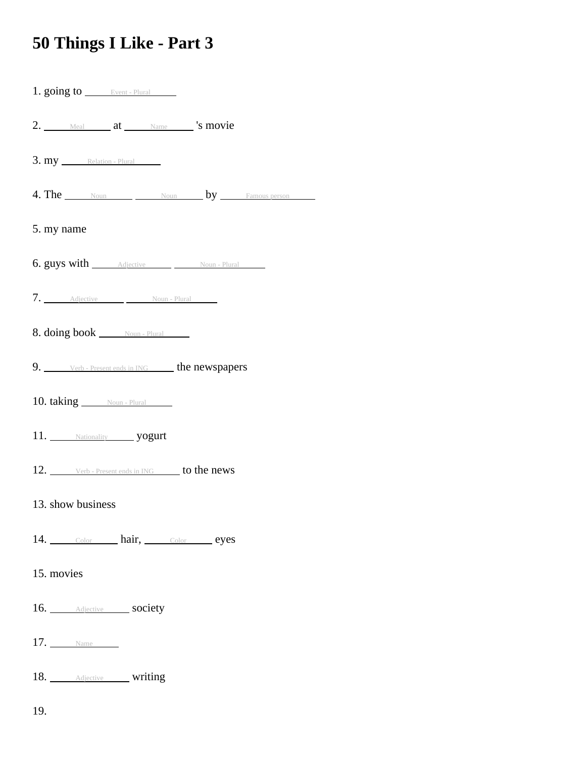## **50 Things I Like - Part 3**

| 1. going to <u>Event - Plural</u>            |
|----------------------------------------------|
| 2. Meal at Name 's movie                     |
| 3. my Relation - Plural                      |
| 4. The Noun Noun Noun by Famous person       |
| 5. my name                                   |
| 6. guys with <i>Adjective</i> Moun-Plural    |
| 7. Adjective Noun-Plural                     |
| 8. doing book Noun - Plural                  |
| 9. Verb - Present ends in ING the newspapers |
| 10. taking Noun-Plural                       |
| 11. Nationality yogurt                       |
| 12. Verb - Present ends in ING to the news   |
| 13. show business                            |
| 14. Color hair, Color eyes                   |
| 15. movies                                   |
| 16. Adjective society                        |
| $17.$ Name                                   |
| 18. Adjective writing                        |

19.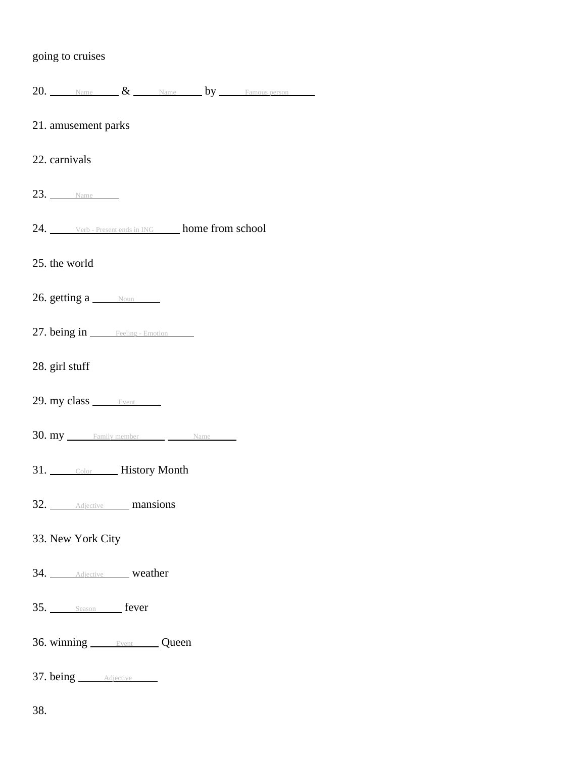## going to cruises

|                |                                                 |  | $20.$ Name $\&$ Name $by$ Famous person |  |
|----------------|-------------------------------------------------|--|-----------------------------------------|--|
|                | 21. amusement parks                             |  |                                         |  |
| 22. carnivals  |                                                 |  |                                         |  |
|                | $23.$ Name                                      |  |                                         |  |
|                | 24. Verb - Present ends in ING home from school |  |                                         |  |
| 25. the world  |                                                 |  |                                         |  |
|                | 26. getting a $\frac{\text{Noun}}{\text{Noun}}$ |  |                                         |  |
|                | 27. being in Feeling - Emotion                  |  |                                         |  |
| 28. girl stuff |                                                 |  |                                         |  |
|                | 29. my class Event                              |  |                                         |  |
|                | 30. my Family member Name                       |  |                                         |  |
|                | 31. Color History Month                         |  |                                         |  |
|                | 32. Adjective mansions                          |  |                                         |  |
|                | 33. New York City                               |  |                                         |  |
|                | 34. Adjective weather                           |  |                                         |  |
|                | 35. Season fever                                |  |                                         |  |
|                | 36. winning <u>Event</u> Queen                  |  |                                         |  |
|                | 37. being <b>Adjective</b>                      |  |                                         |  |